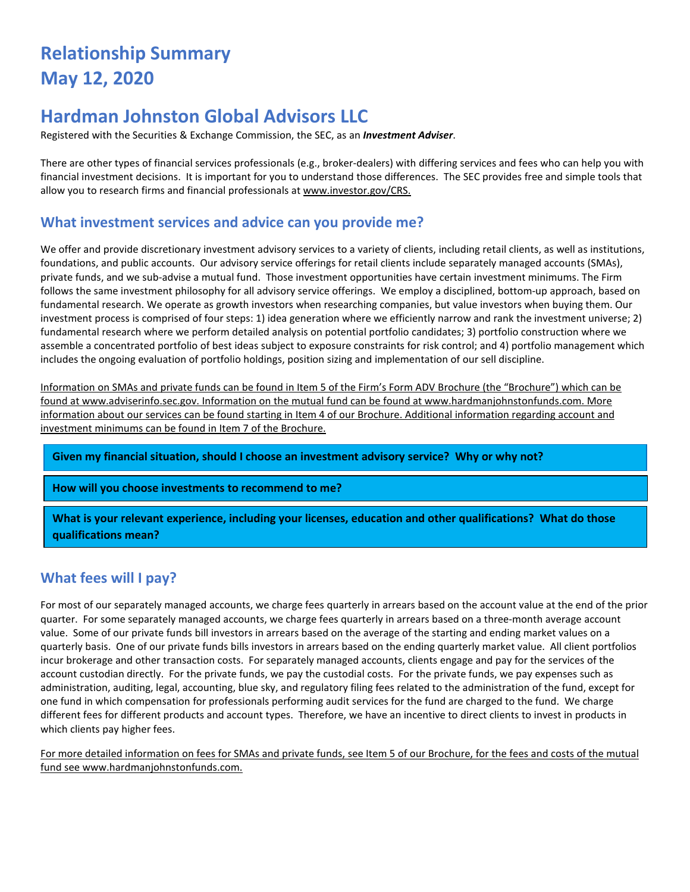# **Relationship Summary May 12, 2020**

## **Hardman Johnston Global Advisors LLC**

Registered with the Securities & Exchange Commission, the SEC, as an *Investment Adviser*.

There are other types of financial services professionals (e.g., broker-dealers) with differing services and fees who can help you with financial investment decisions. It is important for you to understand those differences. The SEC provides free and simple tools that allow you to research firms and financial professionals at [www.investor.gov/CRS.](http://www.investor.gov/CRS)

#### **What investment services and advice can you provide me?**

We offer and provide discretionary investment advisory services to a variety of clients, including retail clients, as well as institutions, foundations, and public accounts. Our advisory service offerings for retail clients include separately managed accounts (SMAs), private funds, and we sub-advise a mutual fund. Those investment opportunities have certain investment minimums. The Firm follows the same investment philosophy for all advisory service offerings. We employ a disciplined, bottom-up approach, based on fundamental research. We operate as growth investors when researching companies, but value investors when buying them. Our investment process is comprised of four steps: 1) idea generation where we efficiently narrow and rank the investment universe; 2) fundamental research where we perform detailed analysis on potential portfolio candidates; 3) portfolio construction where we assemble a concentrated portfolio of best ideas subject to exposure constraints for risk control; and 4) portfolio management which includes the ongoing evaluation of portfolio holdings, position sizing and implementation of our sell discipline.

Information on SMAs and private funds can be found in Item 5 of the Firm's Form ADV Brochure (the "Brochure") which can be found at www.adviserinfo.sec.gov. Information on the mutual fund can be found a[t www.hardmanjohnstonfunds.com.](http://www.hardmanjohnstonfunds.com/) More information about our services can be found starting in Item 4 of our Brochure. Additional information regarding account and investment minimums can be found in Item 7 of the Brochure.

**Given my financial situation, should I choose an investment advisory service? Why or why not?**

#### **How will you choose investments to recommend to me?**

**What is your relevant experience, including your licenses, education and other qualifications? What do those qualifications mean?**

#### **What fees will I pay?**

For most of our separately managed accounts, we charge fees quarterly in arrears based on the account value at the end of the prior quarter. For some separately managed accounts, we charge fees quarterly in arrears based on a three-month average account value. Some of our private funds bill investors in arrears based on the average of the starting and ending market values on a quarterly basis. One of our private funds bills investors in arrears based on the ending quarterly market value. All client portfolios incur brokerage and other transaction costs. For separately managed accounts, clients engage and pay for the services of the account custodian directly. For the private funds, we pay the custodial costs. For the private funds, we pay expenses such as administration, auditing, legal, accounting, blue sky, and regulatory filing fees related to the administration of the fund, except for one fund in which compensation for professionals performing audit services for the fund are charged to the fund. We charge different fees for different products and account types. Therefore, we have an incentive to direct clients to invest in products in which clients pay higher fees.

For more detailed information on fees for SMAs and private funds, see Item 5 of our Brochure, for the fees and costs of the mutual fund see [www.hardmanjohnstonfunds.com.](http://www.hardmanjohnstonfunds.com/)